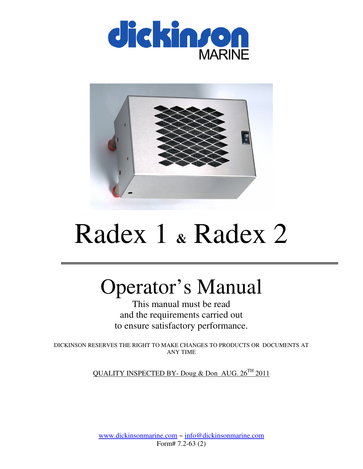



# Radex 1 **&** Radex 2

## Operator's Manual

This manual must be read and the requirements carried out to ensure satisfactory performance.

DICKINSON RESERVES THE RIGHT TO MAKE CHANGES TO PRODUCTS OR DOCUMENTS AT ANY TIME

QUALITY INSPECTED BY- Doug & Don AUG. 26<sup>TH</sup> 2011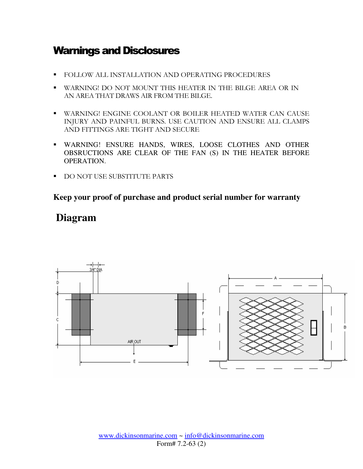## Warnings and Disclosures

- **FOLLOW ALL INSTALLATION AND OPERATING PROCEDURES**
- WARNING! DO NOT MOUNT THIS HEATER IN THE BILGE AREA OR IN AN AREA THAT DRAWS AIR FROM THE BILGE.
- WARNING! ENGINE COOLANT OR BOILER HEATED WATER CAN CAUSE INJURY AND PAINFUL BURNS. USE CAUTION AND ENSURE ALL CLAMPS AND FITTINGS ARE TIGHT AND SECURE
- WARNING! ENSURE HANDS, WIRES, LOOSE CLOTHES AND OTHER OBSRUCTIONS ARE CLEAR OF THE FAN (S) IN THE HEATER BEFORE OPERATION.
- DO NOT USE SUBSTITUTE PARTS

#### **Keep your proof of purchase and product serial number for warranty**

### **Diagram**

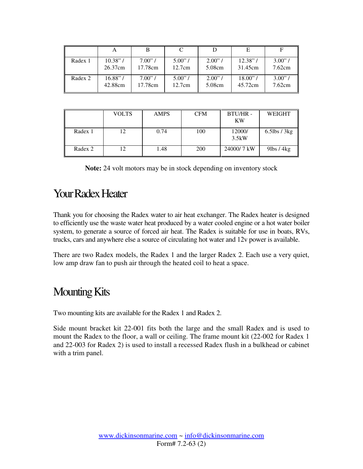| Radex 1 | $10.38"$ / | $7.00$ " / | $5.00$ " / | $2.00$ "/ | $12.38"$ / | 3.00"  |
|---------|------------|------------|------------|-----------|------------|--------|
|         | 26.37cm    | 17.78cm    | 12.7cm     | 5.08cm    | 31.45cm    | 7.62cm |
| Radex 2 | $16.88"$ / | $7.00"$ /  | $5.00$ " / | 2.00"     | 18.00"     | 3.00"  |
|         | 42.88cm    | 17.78cm    | 12.7cm     | 5.08cm    | 45.72cm    | 7.62cm |

|         | <b>VOLTS</b> | <b>AMPS</b> | <b>CFM</b> | <b>BTU/HR-</b><br><b>KW</b> | WEIGHT             |
|---------|--------------|-------------|------------|-----------------------------|--------------------|
| Radex 1 |              | 0.74        | 100        | 12000/<br>3.5kW             | $6.5$ lbs / 3 $kg$ |
| Radex 2 |              | 1.48        | 200        | 24000/7 kW                  | $9$ lbs / $4$ kg   |

| <b>Note:</b> 24 volt motors may be in stock depending on inventory stock |  |  |
|--------------------------------------------------------------------------|--|--|
|--------------------------------------------------------------------------|--|--|

## Your Radex Heater

Thank you for choosing the Radex water to air heat exchanger. The Radex heater is designed to efficiently use the waste water heat produced by a water cooled engine or a hot water boiler system, to generate a source of forced air heat. The Radex is suitable for use in boats, RVs, trucks, cars and anywhere else a source of circulating hot water and 12v power is available.

There are two Radex models, the Radex 1 and the larger Radex 2. Each use a very quiet, low amp draw fan to push air through the heated coil to heat a space.

## Mounting Kits

Two mounting kits are available for the Radex 1 and Radex 2.

Side mount bracket kit 22-001 fits both the large and the small Radex and is used to mount the Radex to the floor, a wall or ceiling. The frame mount kit (22-002 for Radex 1 and 22-003 for Radex 2) is used to install a recessed Radex flush in a bulkhead or cabinet with a trim panel.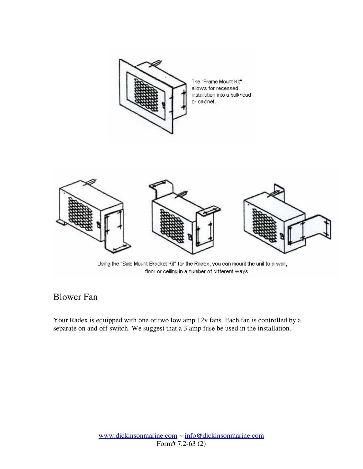



Using the "Side Mount Bracket Kit" for the Radex, you can mount the unit to a wall, floor or ceiling in a number of different ways.

#### Blower Fan

Your Radex is equipped with one or two low amp 12v fans. Each fan is controlled by a separate on and off switch. We suggest that a 3 amp fuse be used in the installation.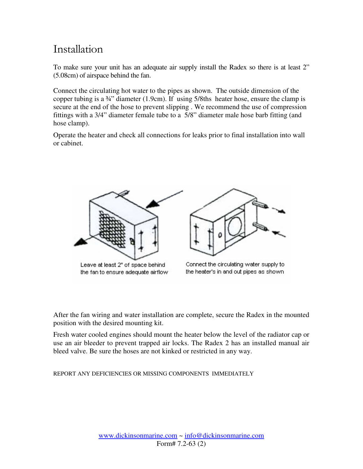## Installation

To make sure your unit has an adequate air supply install the Radex so there is at least 2" (5.08cm) of airspace behind the fan.

Connect the circulating hot water to the pipes as shown. The outside dimension of the copper tubing is a ¾" diameter (1.9cm). If using 5/8ths heater hose, ensure the clamp is secure at the end of the hose to prevent slipping . We recommend the use of compression fittings with a 3/4" diameter female tube to a 5/8" diameter male hose barb fitting (and hose clamp).

Operate the heater and check all connections for leaks prior to final installation into wall or cabinet.



After the fan wiring and water installation are complete, secure the Radex in the mounted position with the desired mounting kit.

Fresh water cooled engines should mount the heater below the level of the radiator cap or use an air bleeder to prevent trapped air locks. The Radex 2 has an installed manual air bleed valve. Be sure the hoses are not kinked or restricted in any way.

REPORT ANY DEFICIENCIES OR MISSING COMPONENTS IMMEDIATELY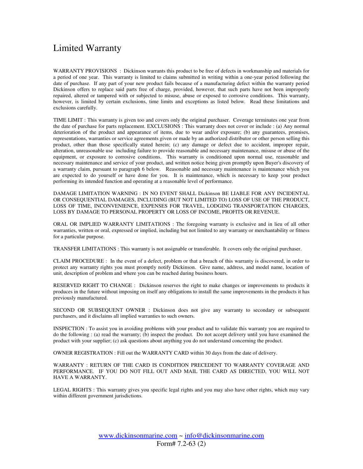#### Limited Warranty

WARRANTY PROVISIONS : Dickinson warrants this product to be free of defects in workmanship and materials for a period of one year. This warranty is limited to claims submitted in writing within a one-year period following the date of purchase. If any part of your new product fails because of a manufacturing defect within the warranty period Dickinson offers to replace said parts free of charge, provided, however, that such parts have not been improperly repaired, altered or tampered with or subjected to misuse, abuse or exposed to corrosive conditions. This warranty, however, is limited by certain exclusions, time limits and exceptions as listed below. Read these limitations and exclusions carefully.

TIME LIMIT : This warranty is given too and covers only the original purchaser. Coverage terminates one year from the date of purchase for parts replacement. EXCLUSIONS : This warranty does not cover or include : (a) Any normal deterioration of the product and appearance of items, due to wear and/or exposure; (b) any guarantees, promises, representations, warranties or service agreements given or made by an authorized distributor or other person selling this product, other than those specifically stated herein; (c) any damage or defect due to accident, improper repair, alteration, unreasonable use including failure to provide reasonable and necessary maintenance, misuse or abuse of the equipment, or exposure to corrosive conditions. This warranty is conditioned upon normal use, reasonable and necessary maintenance and service of your product, and written notice being given promptly upon Buyer's discovery of a warranty claim, pursuant to paragraph 6 below. Reasonable and necessary maintenance is maintenance which you are expected to do yourself or have done for you. It is maintenance, which is necessary to keep your product performing its intended function and operating at a reasonable level of performance.

DAMAGE LIMITATION WARNING : IN NO EVENT SHALL Dickinson BE LIABLE FOR ANY INCIDENTAL OR CONSEQUENTIAL DAMAGES, INCLUDING (BUT NOT LIMITED TO) LOSS OF USE OF THE PRODUCT, LOSS OF TIME, INCONVENIENCE, EXPENSES FOR TRAVEL, LODGING TRANSPORTATION CHARGES, LOSS BY DAMAGE TO PERSONAL PROPERTY OR LOSS OF INCOME, PROFITS OR REVENUE.

ORAL OR IMPLIED WARRANTY LIMITATIONS : The foregoing warranty is exclusive and in lieu of all other warranties, written or oral, expressed or implied, including but not limited to any warranty or merchantability or fitness for a particular purpose.

TRANSFER LIMITATIONS : This warranty is not assignable or transferable. It covers only the original purchaser.

CLAIM PROCEDURE : In the event of a defect, problem or that a breach of this warranty is discovered, in order to protect any warranty rights you must promptly notify Dickinson. Give name, address, and model name, location of unit, description of problem and where you can be reached during business hours.

RESERVED RIGHT TO CHANGE : Dickinson reserves the right to make changes or improvements to products it produces in the future without imposing on itself any obligations to install the same improvements in the products it has previously manufactured.

SECOND OR SUBSEQUENT OWNER : Dickinson does not give any warranty to secondary or subsequent purchasers, and it disclaims all implied warranties to such owners.

INSPECTION : To assist you in avoiding problems with your product and to validate this warranty you are required to do the following : (a) read the warranty; (b) inspect the product. Do not accept delivery until you have examined the product with your supplier; (c) ask questions about anything you do not understand concerning the product.

OWNER REGISTRATION : Fill out the WARRANTY CARD within 30 days from the date of delivery.

WARRANTY : RETURN OF THE CARD IS CONDITION PRECEDENT TO WARRANTY COVERAGE AND PERFORMANCE. IF YOU DO NOT FILL OUT AND MAIL THE CARD AS DIRECTED, YOU WILL NOT HAVE A WARRANTY.

LEGAL RIGHTS : This warranty gives you specific legal rights and you may also have other rights, which may vary within different government jurisdictions.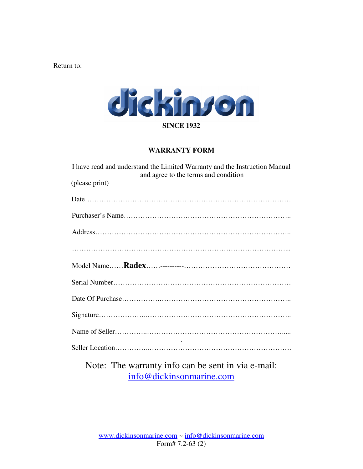Return to:



#### **WARRANTY FORM**

| I have read and understand the Limited Warranty and the Instruction Manual | and agree to the terms and condition                                                                                                  |  |           |
|----------------------------------------------------------------------------|---------------------------------------------------------------------------------------------------------------------------------------|--|-----------|
| (please print)                                                             |                                                                                                                                       |  |           |
|                                                                            |                                                                                                                                       |  |           |
|                                                                            |                                                                                                                                       |  |           |
|                                                                            |                                                                                                                                       |  |           |
|                                                                            |                                                                                                                                       |  |           |
|                                                                            |                                                                                                                                       |  |           |
|                                                                            |                                                                                                                                       |  |           |
|                                                                            |                                                                                                                                       |  |           |
|                                                                            |                                                                                                                                       |  |           |
|                                                                            |                                                                                                                                       |  |           |
|                                                                            |                                                                                                                                       |  |           |
| $\mathbf{M}$ $\mathbf{M}$                                                  | $\mathcal{L}$ , and $\mathcal{L}$ , and $\mathcal{L}$ , and $\mathcal{L}$ , and $\mathcal{L}$ , and $\mathcal{L}$ , and $\mathcal{L}$ |  | $\cdot$ 1 |

Note: The warranty info can be sent in via e-mail: info@dickinsonmarine.com